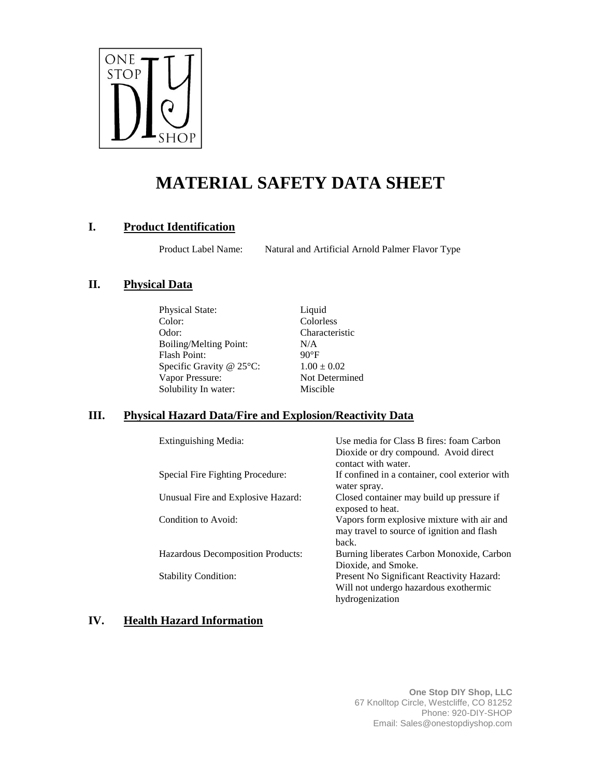

# **MATERIAL SAFETY DATA SHEET**

# **I. Product Identification**

Product Label Name: Natural and Artificial Arnold Palmer Flavor Type

# **II. Physical Data**

Physical State: Liquid Color: Colorless Odor: Characteristic Boiling/Melting Point: N/A Flash Point: 90°F Specific Gravity @  $25^{\circ}$ C:  $1.00 \pm 0.02$ Vapor Pressure: Not Determined Solubility In water: Miscible

# **III. Physical Hazard Data/Fire and Explosion/Reactivity Data**

Extinguishing Media: Use media for Class B fires: foam Carbon

|                                    | Droatue of any compound. Throat uncer<br>contact with water.                                          |
|------------------------------------|-------------------------------------------------------------------------------------------------------|
| Special Fire Fighting Procedure:   | If confined in a container, cool exterior with<br>water spray.                                        |
| Unusual Fire and Explosive Hazard: | Closed container may build up pressure if<br>exposed to heat.                                         |
| Condition to Avoid:                | Vapors form explosive mixture with air and<br>may travel to source of ignition and flash<br>hack.     |
| Hazardous Decomposition Products:  | Burning liberates Carbon Monoxide, Carbon<br>Dioxide, and Smoke.                                      |
| <b>Stability Condition:</b>        | Present No Significant Reactivity Hazard:<br>Will not undergo hazardous exothermic<br>hydrogenization |

# **IV. Health Hazard Information**

Dioxide or dry compound. Avoid direct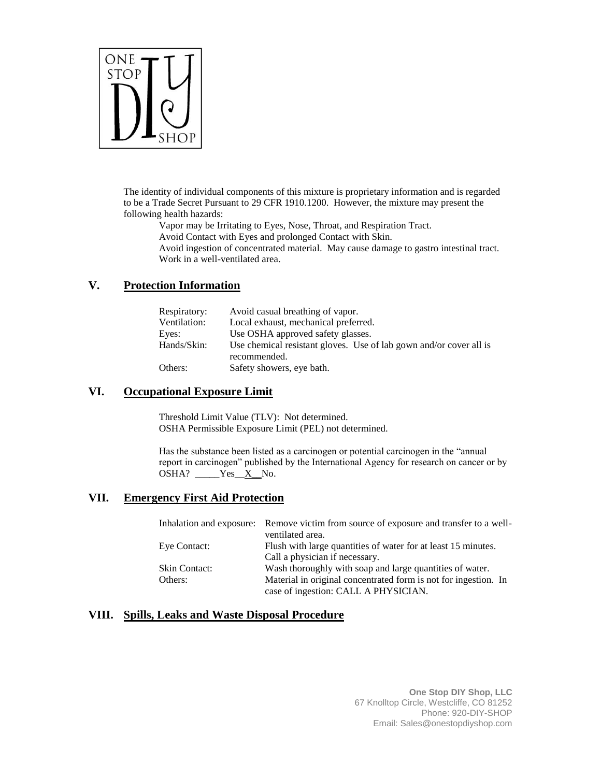

The identity of individual components of this mixture is proprietary information and is regarded to be a Trade Secret Pursuant to 29 CFR 1910.1200. However, the mixture may present the following health hazards:

Vapor may be Irritating to Eyes, Nose, Throat, and Respiration Tract.

Avoid Contact with Eyes and prolonged Contact with Skin.

Avoid ingestion of concentrated material. May cause damage to gastro intestinal tract. Work in a well-ventilated area.

#### **V. Protection Information**

| Respiratory: | Avoid casual breathing of vapor.                                                   |
|--------------|------------------------------------------------------------------------------------|
| Ventilation: | Local exhaust, mechanical preferred.                                               |
| Eyes:        | Use OSHA approved safety glasses.                                                  |
| Hands/Skin:  | Use chemical resistant gloves. Use of lab gown and/or cover all is<br>recommended. |
| Others:      | Safety showers, eye bath.                                                          |

#### **VI. Occupational Exposure Limit**

Threshold Limit Value (TLV): Not determined. OSHA Permissible Exposure Limit (PEL) not determined.

Has the substance been listed as a carcinogen or potential carcinogen in the "annual report in carcinogen" published by the International Agency for research on cancer or by OSHA? \_\_\_\_\_Yes\_X\_No.

#### **VII. Emergency First Aid Protection**

|                      | Inhalation and exposure: Remove victim from source of exposure and transfer to a well- |
|----------------------|----------------------------------------------------------------------------------------|
|                      | ventilated area.                                                                       |
| Eye Contact:         | Flush with large quantities of water for at least 15 minutes.                          |
|                      | Call a physician if necessary.                                                         |
| <b>Skin Contact:</b> | Wash thoroughly with soap and large quantities of water.                               |
| Others:              | Material in original concentrated form is not for ingestion. In                        |
|                      | case of ingestion: CALL A PHYSICIAN.                                                   |

# **VIII. Spills, Leaks and Waste Disposal Procedure**